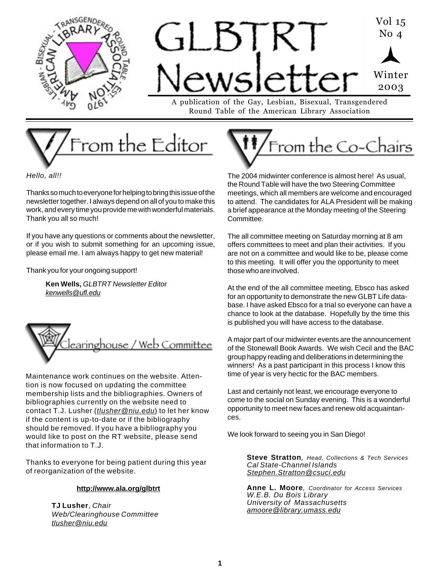



Round Table of the American Library Association



Hello, all!!

Thanks so much to everyone for helping to bring this issue of the newsletter together. I always depend on all of you to make this work, and every time you provide me with wonderful materials. Thank you all so much!

If you have any questions or comments about the newsletter, or if you wish to submit something for an upcoming issue, please email me. I am always happy to get new material!

Thank you for your ongoing support!

**Ken Wells,** GLBTRT Newsletter Editor kenwells@ufl.edu



Maintenance work continues on the website. Attention is now focused on updating the committee membership lists and the bibliographies. Owners of bibliographies currently on the website need to contact T.J. Lusher (tlusher@niu.edu) to let her know if the content is up-to-date or if the bibliography should be removed. If you have a bibliography you would like to post on the RT website, please send that information to T.J.

Thanks to everyone for being patient during this year of reorganization of the website.

### **http://www.ala.org/glbtrt**

**TJ Lusher**, Chair Web/Clearinghouse Committee tlusher@niu.edu



The 2004 midwinter conference is almost here! As usual, the Round Table will have the two Steering Committee meetings, which all members are welcome and encouraged to attend. The candidates for ALA President will be making a brief appearance at the Monday meeting of the Steering Committee.

The all committee meeting on Saturday morning at 8 am offers committees to meet and plan their activities. If you are not on a committee and would like to be, please come to this meeting. It will offer you the opportunity to meet those who are involved.

At the end of the all committee meeting, Ebsco has asked for an opportunity to demonstrate the new GLBT Life database. I have asked Ebsco for a trial so everyone can have a chance to look at the database. Hopefully by the time this is published you will have access to the database.

A major part of our midwinter events are the announcement of the Stonewall Book Awards. We wish Cecil and the BAC group happy reading and deliberations in determining the winners! As a past participant in this process I know this time of year is very hectic for the BAC members.

Last and certainly not least, we encourage everyone to come to the social on Sunday evening. This is a wonderful opportunity to meet new faces and renew old acquaintances.

We look forward to seeing you in San Diego!

**Steve Stratton**, Head, Collections & Tech Services Cal State-Channel Islands Stephen.Stratton@csuci.edu

**Anne L. Moore**, Coordinator for Access Services W.E.B. Du Bois Library University of Massachusetts amoore@library.umass.edu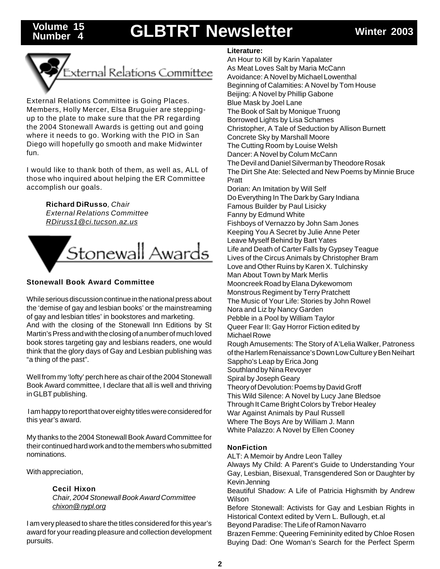## Volume 15 **GLBTRT Newsletter** Winter 2003

**Number 4**



External Relations Committee is Going Places. Members, Holly Mercer, Elsa Bruguier are steppingup to the plate to make sure that the PR regarding the 2004 Stonewall Awards is getting out and going where it needs to go. Working with the PIO in San Diego will hopefully go smooth and make Midwinter fun.

I would like to thank both of them, as well as, ALL of those who inquired about helping the ER Committee accomplish our goals.

> **Richard DiRusso**, Chair External Relations Committee

RDiruss1@ci.tucson.az.us



## **Stonewall Book Award Committee**

While serious discussion continue in the national press about the 'demise of gay and lesbian books' or the mainstreaming of gay and lesbian titles' in bookstores and marketing.

And with the closing of the Stonewall Inn Editions by St Martin's Press and with the closing of a number of much loved book stores targeting gay and lesbians readers, one would think that the glory days of Gay and Lesbian publishing was "a thing of the past".

Well from my 'lofty' perch here as chair of the 2004 Stonewall Book Award committee, I declare that all is well and thriving in GLBT publishing.

 I am happy to report that over eighty titles were considered for this year's award.

My thanks to the 2004 Stonewall Book Award Committee for their continued hard work and to the members who submitted nominations.

With appreciation,

### **Cecil Hixon**

Chair, 2004 Stonewall Book Award Committee chixon@ nypl.org

I am very pleased to share the titles considered for this year's award for your reading pleasure and collection development pursuits.

### **Literature:**

An Hour to Kill by Karin Yapalater As Meat Loves Salt by Maria McCann Avoidance: A Novel by Michael Lowenthal Beginning of Calamities: A Novel by Tom House Beijing: A Novel by Phillip Gabone Blue Mask by Joel Lane The Book of Salt by Monique Truong Borrowed Lights by Lisa Schames Christopher, A Tale of Seduction by Allison Burnett Concrete Sky by Marshall Moore The Cutting Room by Louise Welsh Dancer: A Novel by Colum McCann The Devil and Daniel Silverman by Theodore Rosak The Dirt She Ate: Selected and New Poems by Minnie Bruce Pratt Dorian: An Imitation by Will Self Do Everything In The Dark by Gary Indiana Famous Builder by Paul Lisicky Fanny by Edmund White Fishboys of Vernazzo by John Sam Jones Keeping You A Secret by Julie Anne Peter Leave Myself Behind by Bart Yates Life and Death of Carter Falls by Gypsey Teague Lives of the Circus Animals by Christopher Bram Love and Other Ruins by Karen X. Tulchinsky Man About Town by Mark Merlis Mooncreek Road by Elana Dykewomom Monstrous Regiment by Terry Pratchett The Music of Your Life: Stories by John Rowel Nora and Liz by Nancy Garden Pebble in a Pool by William Taylor Queer Fear II: Gay Horror Fiction edited by Michael Rowe Rough Amusements: The Story of A'Lelia Walker, Patroness of the Harlem Renaissance's Down Low Culture y Ben Neihart Sappho's Leap by Erica Jong Southland by Nina Revoyer Spiral by Joseph Geary Theory of Devolution: Poems by David Groff This Wild Silence: A Novel by Lucy Jane Bledsoe Through It Came Bright Colors by Trebor Healey War Against Animals by Paul Russell Where The Boys Are by William J. Mann White Palazzo: A Novel by Ellen Cooney

### **NonFiction**

ALT: A Memoir by Andre Leon Talley

Always My Child: A Parent's Guide to Understanding Your Gay, Lesbian, Bisexual, Transgendered Son or Daughter by Kevin Jenning

Beautiful Shadow: A Life of Patricia Highsmith by Andrew Wilson

Before Stonewall: Activists for Gay and Lesbian Rights in Historical Context edited by Vern L. Bullough, et.al

Beyond Paradise: The Life of Ramon Navarro

2 Buying Dad: One Woman's Search for the Perfect SpermBrazen Femme: Queering Femininity edited by Chloe Rosen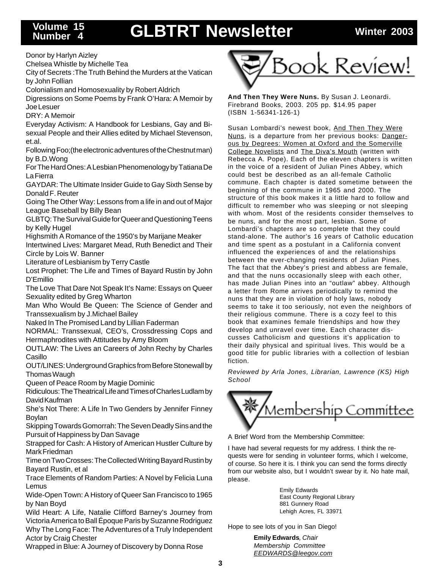# **Number 4**

# **GLBTRT Newsletter Winter 2003 Volume 15**

Donor by Harlyn Aizley

Chelsea Whistle by Michelle Tea

City of Secrets :The Truth Behind the Murders at the Vatican by John Follian

Colonialism and Homosexuality by Robert Aldrich

Digressions on Some Poems by Frank O'Hara: A Memoir by Joe Lesuer

DRY: A Memoir

Everyday Activism: A Handbook for Lesbians, Gay and Bisexual People and their Allies edited by Michael Stevenson, et.al.

Following Foo;(the electronic adventures of the Chestnut man) by B.D.Wong

For The Hard Ones: A Lesbian Phenomenology by Tatiana De La Fierra

GAYDAR: The Ultimate Insider Guide to Gay Sixth Sense by Donald F. Reuter

Going The Other Way: Lessons from a life in and out of Major League Baseball by Billy Bean

GLBTQ: The Survival Guide for Queer and Questioning Teens by Kelly Hugel

Highsmith A Romance of the 1950's by Marijane Meaker

Intertwined Lives: Margaret Mead, Ruth Benedict and Their Circle by Lois W. Banner

Literature of Lesbianism by Terry Castle

Lost Prophet: The Life and Times of Bayard Rustin by John D'Emillio

The Love That Dare Not Speak It's Name: Essays on Queer Sexuality edited by Greg Wharton

Man Who Would Be Queen: The Science of Gender and Transsexualism by J.Michael Bailey

Naked In The Promised Land by Lillian Faderman

NORMAL: Transsexual, CEO's, Crossdressing Cops and Hermaphrodites with Attitudes by Amy Bloom

OUTLAW: The Lives an Careers of John Rechy by Charles Casillo

OUT/LINES: Underground Graphics from Before Stonewall by Thomas Waugh

Queen of Peace Room by Magie Dominic

Ridiculous: The Theatrical Life and Times of Charles Ludlam by David Kaufman

She's Not There: A Life In Two Genders by Jennifer Finney Boylan

Skipping Towards Gomorrah: The Seven Deadly Sins and the Pursuit of Happiness by Dan Savage

Strapped for Cash: A History of American Hustler Culture by Mark Friedman

Time on Two Crosses: The Collected Writing Bayard Rustin by Bayard Rustin, et al

Trace Elements of Random Parties: A Novel by Felicia Luna Lemus

Wide-Open Town: A History of Queer San Francisco to 1965 by Nan Boyd

Wild Heart: A Life, Natalie Clifford Barney's Journey from Victoria America to Ball Époque Paris by Suzanne Rodriguez Why The Long Face: The Adventures of a Truly Independent Actor by Craig Chester

Wrapped in Blue: A Journey of Discovery by Donna Rose



**And Then They Were Nuns.** By Susan J. Leonardi. Firebrand Books, 2003. 205 pp. \$14.95 paper (ISBN 1-56341-126-1)

Susan Lombardi's newest book, And Then They Were Nuns, is a departure from her previous books: Dangerous by Degrees: Women at Oxford and the Somerville College Novelists and The Diva's Mouth (written with Rebecca A. Pope). Each of the eleven chapters is written in the voice of a resident of Julian Pines Abbey, which could best be described as an all-female Catholic commune. Each chapter is dated sometime between the beginning of the commune in 1965 and 2000. The structure of this book makes it a little hard to follow and difficult to remember who was sleeping or not sleeping with whom. Most of the residents consider themselves to be nuns, and for the most part, lesbian. Some of Lombardi's chapters are so complete that they could stand-alone. The author's 16 years of Catholic education and time spent as a postulant in a California convent influenced the experiences of and the relationships between the ever-changing residents of Julian Pines. The fact that the Abbey's priest and abbess are female, and that the nuns occasionally sleep with each other, has made Julian Pines into an "outlaw" abbey. Although a letter from Rome arrives periodically to remind the nuns that they are in violation of holy laws, nobody seems to take it too seriously, not even the neighbors of their religious commune. There is a cozy feel to this book that examines female friendships and how they develop and unravel over time. Each character discusses Catholicism and questions it's application to their daily physical and spiritual lives. This would be a good title for public libraries with a collection of lesbian fiction.

Reviewed by Arla Jones, Librarian, Lawrence (KS) High **School** 



A Brief Word from the Membership Committee:

I have had several requests for my address. I think the requests were for sending in volunteer forms, which I welcome, of course. So here it is. I think you can send the forms directly from our website also, but I wouldn't swear by it. No hate mail, please.

> Emily Edwards East County Regional Library 881 Gunnery Road Lehigh Acres, FL 33971

Hope to see lots of you in San Diego!

**Emily Edwards**, Chair Membership Committee EEDWARDS@leegov.com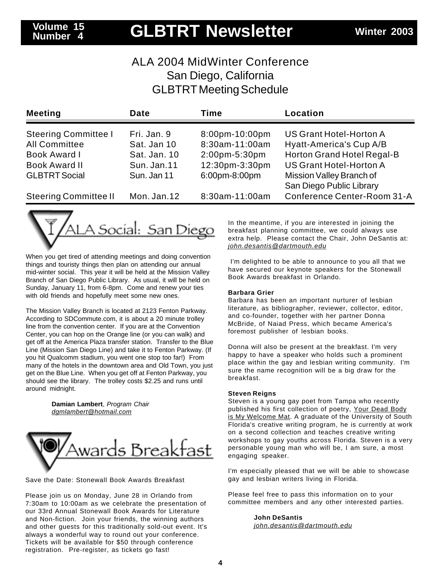## **GLBTRT Newsletter Winter 2003 Volume 15**

## ALA 2004 MidWinter Conference San Diego, California GLBTRT Meeting Schedule

| <b>Meeting</b>               | Date         | Time           | Location                       |
|------------------------------|--------------|----------------|--------------------------------|
| <b>Steering Committee I</b>  | Fri. Jan. 9  | 8:00pm-10:00pm | US Grant Hotel-Horton A        |
| <b>All Committee</b>         | Sat. Jan 10  | 8:30am-11:00am | Hyatt-America's Cup A/B        |
| Book Award I                 | Sat. Jan. 10 | 2:00pm-5:30pm  | Horton Grand Hotel Regal-B     |
| <b>Book Award II</b>         | Sun. Jan. 11 | 12:30pm-3:30pm | <b>US Grant Hotel-Horton A</b> |
| <b>GLBTRT Social</b>         | Sun. Jan 11  | 6:00pm-8:00pm  | Mission Valley Branch of       |
|                              |              |                | San Diego Public Library       |
| <b>Steering Committee II</b> | Mon. Jan. 12 | 8:30am-11:00am | Conference Center-Room 31-A    |



When you get tired of attending meetings and doing convention things and touristy things then plan on attending our annual mid-winter social. This year it will be held at the Mission Valley Branch of San Diego Public Library. As usual, it will be held on Sunday, January 11, from 6-8pm. Come and renew your ties with old friends and hopefully meet some new ones.

The Mission Valley Branch is located at 2123 Fenton Parkway. According to SDCommute.com, it is about a 20 minute trolley line from the convention center. If you are at the Convention Center, you can hop on the Orange line (or you can walk) and get off at the America Plaza transfer station. Transfer to the Blue Line (Mission San Diego Line) and take it to Fenton Parkway. (If you hit Qualcomm stadium, you went one stop too far!) From many of the hotels in the downtown area and Old Town, you just get on the Blue Line. When you get off at Fenton Parkway, you should see the library. The trolley costs \$2.25 and runs until around midnight.

> **Damian Lambert**, Program Chair dgmlambert@hotmail.com



Save the Date: Stonewall Book Awards Breakfast

Please join us on Monday, June 28 in Orlando from 7:30am to 10:00am as we celebrate the presentation of our 33rd Annual Stonewall Book Awards for Literature and Non-fiction. Join your friends, the winning authors and other guests for this traditionally sold-out event. It's always a wonderful way to round out your conference. Tickets will be available for \$50 through conference registration. Pre-register, as tickets go fast!

In the meantime, if you are interested in joining the breakfast planning committee, we could always use extra help. Please contact the Chair, John DeSantis at: john.desantis@dartmouth.edu

 I'm delighted to be able to announce to you all that we have secured our keynote speakers for the Stonewall Book Awards breakfast in Orlando.

#### **Barbara Grier**

Barbara has been an important nurturer of lesbian literature, as bibliographer, reviewer, collector, editor, and co-founder, together with her partner Donna McBride, of Naiad Press, which became America's foremost publisher of lesbian books.

Donna will also be present at the breakfast. I'm very happy to have a speaker who holds such a prominent place within the gay and lesbian writing community. I'm sure the name recognition will be a big draw for the breakfast.

#### **Steven Reigns**

Steven is a young gay poet from Tampa who recently published his first collection of poetry, Your Dead Body is My Welcome Mat. A graduate of the University of South Florida's creative writing program, he is currently at work on a second collection and teaches creative writing workshops to gay youths across Florida. Steven is a very personable young man who will be, I am sure, a most engaging speaker.

I'm especially pleased that we will be able to showcase gay and lesbian writers living in Florida.

Please feel free to pass this information on to your committee members and any other interested parties.

> **John DeSantis** john.desantis@dartmouth.edu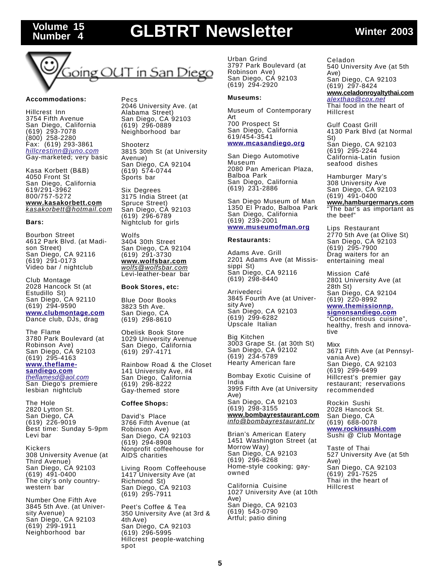## Volume 15 **GLBTRT Newsletter** Winter 2003



#### **Accommodations:**

**Number 4**

Hillcrest Inn 3754 Fifth Avenue San Diego, California (619) 293-7078 (800) 258-2280 Fax: (619) 293-3861 hillcrestinn@juno.com Gay-marketed; very basic

Kasa Korbett (B&B) 4050 Front St San Diego, California 619/291-3962 800/757-5272 **www.kasakorbett.com** kasakorbett@hotmail.com

#### **Bars:**

Bourbon Street 4612 Park Blvd. (at Madison Street) San Diego, CA 92116 (619) 291-0173 Video bar / nightclub

Club Montage 2028 Hancock St (at Estudillo St) San Diego, CA 92110 (619) 294-9590 **www.clubmontage.com** Dance club, DJs, drag

The Flame 3780 Park Boulevard (at Robinson Ave) San Diego, CÁ 92103 (619) 295-4163 **www.theflamesandiego.com**

theflamesd@aol.com San Diego's premiere lesbian nightclub

The Hole 2820 Lytton St. San Diego, CA (619) 226-9019 Best time: Sunday 5-9pm Levi bar

Kickers 308 University Avenue (at Third Avenue) San Diego, CA 92103 (619) 491-0400 The city's only countrywestern bar

Number One Fifth Ave 3845 5th Ave. (at University Avenue) San Diego, CA 92103 (619) 299-1911 Neighborhood bar

Pecs 2046 University Ave. (at Alabama Street) San Diego, CA 92103 (619) 296-0889 Neighborhood bar

Shooterz 3815 30th St (at University Avenue) San Diego, CA 92104 (619) 574-0744 Sports bar

Six Degrees 3175 India Street (at Spruce Street) San Diego, CA 92103 (619) 296-6789 Nightclub for girls

Wolfs 3404 30th Street San Diego, CA 92104 (619) 291-3730 **www.wolfsbar.com** wolfs@wolfsbar.com Levi-leather-bear bar

#### **Book Stores, etc:**

Blue Door Books 3823 5th Ave. San Diego, CA (619) 298-8610

Obelisk Book Store 1029 University Avenue San Diego, California (619) 297-4171

Rainbow Road & the Closet 141 University Ave, #4 San Diego, California (619) 296-8222 Gay-themed store

#### **Coffee Shops:**

David's Place 3766 Fifth Avenue (at Robinson Ave) San Diego, CA 92103 (619) 294-8908 Nonprofit coffeehouse for AIDS charities

Living Room Coffeehouse 1417 University Ave (at Richmond St) San Diego, CA 92103 (619) 295-7911

Peet's Coffee & Tea 350 University Ave (at 3rd & 4th Ave) San Diego, CA 92103 (619) 296-5995 Hillcrest people-watching spot

Urban Grind 3797 Park Boulevard (at Robinson Ave) San Diego, CA 92103 (619) 294-2920

#### **Museums:**

Museum of Contemporary Art 700 Prospect St San Diego, California 619/454-3541

#### **www.mcasandiego.org**

San Diego Automotive Museum 2080 Pan American Plaza, Balboa Park San Diego, California (619) 231-2886

San Diego Museum of Man 1350 El Prado, Balboa Park San Diego, California (619) 239-2001 **www.museumofman.org**

#### **Restaurants:**

Adams Ave. Grill 2201 Adams Ave (at Mississippi St) San Diego, CA 92116 (619) 298-8440

Arrivederci 3845 Fourth Ave (at University Ave) San Diego, CA 92103 (619) 299-6282 Upscale Italian

Big Kitchen 3003 Grape St. (at 30th St) San Diego, CA 92102 (619) 234-5789 Hearty American fare

Bombay Exotic Cuisine of India 3995 Fifth Ave (at University Ave) San Diego, CA 92103 (619) 298-3155 **www.bombayrestaurant.com** info@bombayrestaurant.tv

Brian's American Eatery 1451 Washington Street (at Morrow Way) San Diego, CA 92103 (619) 296-8268 Home-style cooking; gayowned

California Cuisine 1027 University Ave (at 10th Ave) San Diego, CA 92103 (619) 543-0790 Artful; patio dining

Celadon 540 University Ave (at 5th Ave) San Diego, CA 92103 (619) 297-8424 **www.celadonroyaltythai.com** alexthao@cox.net Thai food in the heart of Hillcrest

Gulf Coast Grill 4130 Park Blvd (at Normal St) San Diego, CA 92103 (619) 295-2244 California-Latin fusion seafood dishes

Hamburger Mary's 308 University Ave San Diego, CA 92103 (619) 491-0400 **www,hamburgermarys.com** The bar's as important as the beef"

Lips Restaurant 2770 5th Ave (at Olive St) San Diego, CA 92103 (619) 295-7900 Drag waiters for an entertaining meal

Mission Café 2801 University Ave (at 28th St) San Diego, CA 92104 (619) 220-8992 **www.themissionnp. signonsandiego.com**

"Conscientious cuisine", healthy, fresh and innovative

Mixx 3671 Fifth Ave (at Pennsylvania Ave) San Diego, CA 92103 (619) 299-6499 Hillcrest's premier gay restaurant; reservations recommended

Rockin Sushi 2028 Hancock St. San Diego, CA (619) 688-0078 **www.rockinsushi.com** Sushi @ Club Montage

Taste of Thai 527 University Ave (at 5th Ave) San Diego, CA 92103 (619) 291-7525 Thai in the heart of Hillcrest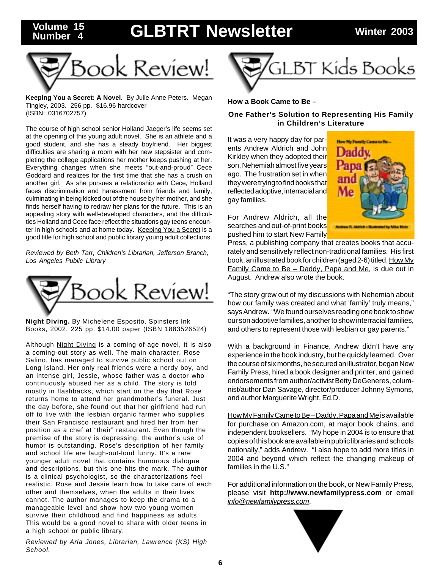## **GLBTRT Newsletter Winter 2003 Volume 15**



**Number 4**

**Keeping You a Secret: A Novel**. By Julie Anne Peters. Megan Tingley, 2003. 256 pp. \$16.96 hardcover (ISBN: 0316702757)

The course of high school senior Holland Jaeger's life seems set at the opening of this young adult novel. She is an athlete and a good student, and she has a steady boyfriend. Her biggest difficulties are sharing a room with her new stepsister and completing the college applications her mother keeps pushing at her. Everything changes when she meets "out-and-proud" Cece Goddard and realizes for the first time that she has a crush on another girl. As she pursues a relationship with Cece, Holland faces discrimination and harassment from friends and family, culminating in being kicked out of the house by her mother, and she finds herself having to redraw her plans for the future. This is an appealing story with well-developed characters, and the difficulties Holland and Cece face reflect the situations gay teens encounter in high schools and at home today. Keeping You a Secret is a good title for high school and public library young adult collections.

Reviewed by Beth Tarr, Children's Librarian, Jefferson Branch, Los Angeles Public Library



**Night Diving.** By Michelene Esposito. Spinsters Ink Books, 2002. 225 pp. \$14.00 paper (ISBN 1883526524)

Although Night Diving is a coming-of-age novel, it is also a coming-out story as well. The main character, Rose Salino, has managed to survive public school out on Long Island. Her only real friends were a nerdy boy, and an intense girl, Jessie, whose father was a doctor who continuously abused her as a child. The story is told mostly in flashbacks, which start on the day that Rose returns home to attend her grandmother's funeral. Just the day before, she found out that her girlfriend had run off to live with the lesbian organic farmer who supplies their San Francisco restaurant and fired her from her position as a chef at "their" restaurant. Even though the premise of the story is depressing, the author's use of humor is outstanding. Rose's description of her family and school life are laugh-out-loud funny. It's a rare younger adult novel that contains humorous dialogue and descriptions, but this one hits the mark. The author is a clinical psychologist, so the characterizations feel realistic. Rose and Jessie learn how to take care of each other and themselves, when the adults in their lives cannot. The author manages to keep the drama to a manageable level and show how two young women survive their childhood and find happiness as adults. This would be a good novel to share with older teens in a high school or public library.

Reviewed by Arla Jones, Librarian, Lawrence (KS) High School.



### **How a Book Came to Be –**

### **One Father's Solution to Representing His Family in Children's Literature**

It was a very happy day for parents Andrew Aldrich and John Kirkley when they adopted their son, Nehemiah almost five years ago. The frustration set in when they were trying to find books that reflected adoptive, interracial and gay families.



For Andrew Aldrich, all the searches and out-of-print books pushed him to start New Family

Press, a publishing company that creates books that accurately and sensitively reflect non-traditional families. His first book, an illustrated book for children (aged 2-6) titled, How My Family Came to Be – Daddy, Papa and Me, is due out in August. Andrew also wrote the book.

"The story grew out of my discussions with Nehemiah about how our family was created and what 'family' truly means," says Andrew. "We found ourselves reading one book to show our son adoptive families, another to show interracial families, and others to represent those with lesbian or gay parents."

With a background in Finance, Andrew didn't have any experience in the book industry, but he quickly learned. Over the course of six months, he secured an illustrator, began New Family Press, hired a book designer and printer, and gained endorsements from author/activist Betty DeGeneres, columnist/author Dan Savage, director/producer Johnny Symons, and author Marguerite Wright, Ed.D.

How My Family Came to Be – Daddy, Papa and Me is available for purchase on Amazon.com, at major book chains, and independent booksellers. "My hope in 2004 is to ensure that copies of this book are available in public libraries and schools nationally," adds Andrew. "I also hope to add more titles in 2004 and beyond which reflect the changing makeup of families in the U.S."

For additional information on the book, or New Family Press, please visit **http://www.newfamilypress.com** or email info@newfamilypress.com.

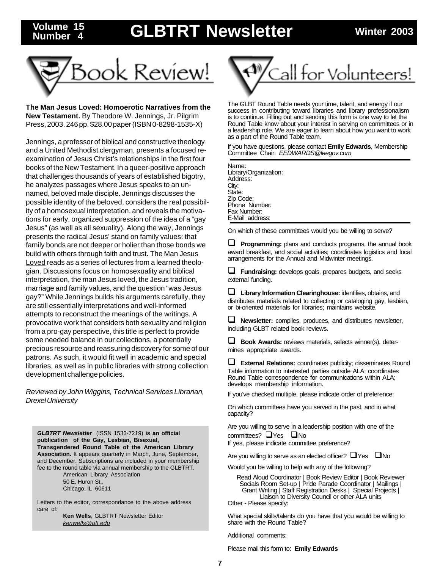## **GLBTRT Newsletter Winter 2003 Volume 15**



**Number 4**

**The Man Jesus Loved: Homoerotic Narratives from the New Testament.** By Theodore W. Jennings, Jr. Pilgrim Press, 2003. 246 pp. \$28.00 paper (ISBN 0-8298-1535-X)

Jennings, a professor of biblical and constructive theology and a United Methodist clergyman, presents a focused reexamination of Jesus Christ's relationships in the first four books of the New Testament. In a queer-positive approach that challenges thousands of years of established bigotry, he analyzes passages where Jesus speaks to an unnamed, beloved male disciple. Jennings discusses the possible identity of the beloved, considers the real possibility of a homosexual interpretation, and reveals the motivations for early, organized suppression of the idea of a "gay Jesus" (as well as all sexuality). Along the way, Jennings presents the radical Jesus' stand on family values: that family bonds are not deeper or holier than those bonds we build with others through faith and trust. The Man Jesus Loved reads as a series of lectures from a learned theologian. Discussions focus on homosexuality and biblical interpretation, the man Jesus loved, the Jesus tradition, marriage and family values, and the question "was Jesus gay?" While Jennings builds his arguments carefully, they are still essentially interpretations and well-informed attempts to reconstruct the meanings of the writings. A provocative work that considers both sexuality and religion from a pro-gay perspective, this title is perfect to provide some needed balance in our collections, a potentially precious resource and reassuring discovery for some of our patrons. As such, it would fit well in academic and special libraries, as well as in public libraries with strong collection development challenge policies.

Reviewed by John Wiggins, Technical Services Librarian, Drexel University

**GLBTRT Newsletter** (ISSN 1533-7219) **is an official publication of the Gay, Lesbian, Bisexual, Transgendered Round Table of the American Library Association.** It appears quarterly in March, June, September, and December. Subscriptions are included in your membership fee to the round table via annual membership to the GLBTRT.

American Library Association 50 E. Huron St., Chicago, IL 60611

Letters to the editor, correspondance to the above address care of:

> **Ken Wells**, GLBTRT Newsletter Editor kenwells@ufl.edu



The GLBT Round Table needs your time, talent, and energy if our success in contributing toward libraries and library professionalism is to continue. Filling out and sending this form is one way to let the Round Table know about your interest in serving on committees or in a leadership role. We are eager to learn about how you want to work as a part of the Round Table team.

If you have questions, please contact **Emily Edwards**, Membership Committee Chair: EEDWARDS@leegov.com

Name: Library/Organization: Address: City: State: Zip Code: Phone Number: Fax Number: E-Mail address:

On which of these committees would you be willing to serve?

**Programming:** plans and conducts programs, the annual book award breakfast, and social activities; coordinates logistics and local arrangements for the Annual and Midwinter meetings.

 **Fundraising:** develops goals, prepares budgets, and seeks external funding.

 **Library Information Clearinghouse:** identifies, obtains, and distributes materials related to collecting or cataloging gay, lesbian, or bi-oriented materials for libraries; maintains website.

 **Newsletter:** compiles, produces, and distributes newsletter, including GLBT related book reviews.

 **Book Awards:** reviews materials, selects winner(s), determines appropriate awards.

 **External Relations:** coordinates publicity; disseminates Round Table information to interested parties outside ALA; coordinates Round Table correspondence for communications within ALA; develops membership information.

If you've checked multiple, please indicate order of preference:

On which committees have you served in the past, and in what capacity?

Are you willing to serve in a leadership position with one of the committees?  $\Box$  Yes  $\Box$  No

If yes, please indicate committee preference?

Are you willing to serve as an elected officer?  $\Box$  Yes  $\Box$  No

Would you be willing to help with any of the following?

Read Aloud Coordinator | Book Review Editor | Book Reviewer Socials Room Set-up | Pride Parade Coordinator | Mailings | Grant Writing | Staff Registration Desks | Special Projects | Liaison to Diversity Council or other ALA units Other - Please specify:

What special skills/talents do you have that you would be willing to share with the Round Table?

Additional comments:

Please mail this form to: **Emily Edwards**